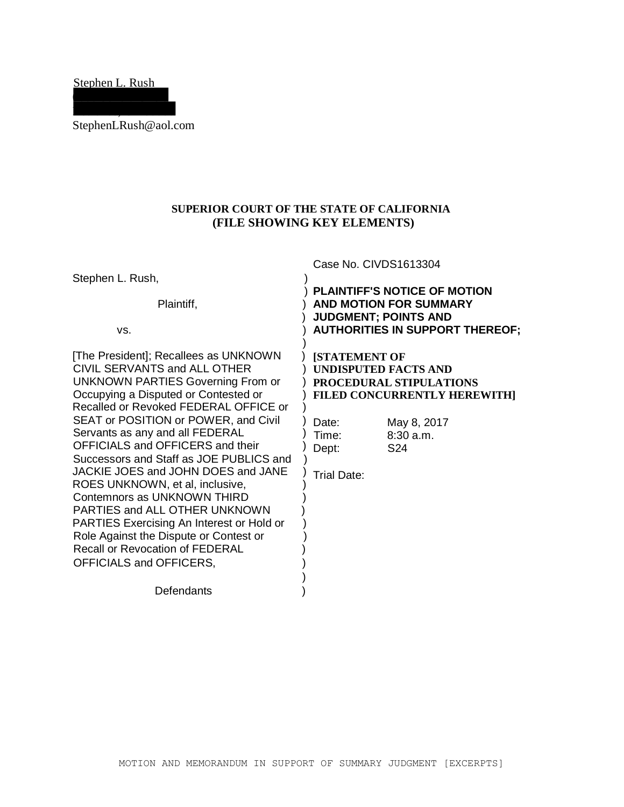Stephen L. Rush 0000 Sonora Circle

StephenLRush@aol.com

Redlands, CA 00000

# **SUPERIOR COURT OF THE STATE OF CALIFORNIA (FILE SHOWING KEY ELEMENTS) .**

|                                                                                                                                                                                                                                                                                                                                                                                                                                                                                                                                                                                                                                                            | Case No. CIVDS1613304                                                                                                                                                                                                 |  |
|------------------------------------------------------------------------------------------------------------------------------------------------------------------------------------------------------------------------------------------------------------------------------------------------------------------------------------------------------------------------------------------------------------------------------------------------------------------------------------------------------------------------------------------------------------------------------------------------------------------------------------------------------------|-----------------------------------------------------------------------------------------------------------------------------------------------------------------------------------------------------------------------|--|
| Stephen L. Rush,                                                                                                                                                                                                                                                                                                                                                                                                                                                                                                                                                                                                                                           |                                                                                                                                                                                                                       |  |
| Plaintiff,<br>VS.                                                                                                                                                                                                                                                                                                                                                                                                                                                                                                                                                                                                                                          | <b>PLAINTIFF'S NOTICE OF MOTION</b><br><b>AND MOTION FOR SUMMARY</b><br><b>JUDGMENT; POINTS AND</b><br><b>AUTHORITIES IN SUPPORT THEREOF;</b>                                                                         |  |
| [The President]; Recallees as UNKNOWN<br>CIVIL SERVANTS and ALL OTHER<br>UNKNOWN PARTIES Governing From or<br>Occupying a Disputed or Contested or<br>Recalled or Revoked FEDERAL OFFICE or<br>SEAT or POSITION or POWER, and Civil<br>Servants as any and all FEDERAL<br>OFFICIALS and OFFICERS and their<br>Successors and Staff as JOE PUBLICS and<br>JACKIE JOES and JOHN DOES and JANE<br>ROES UNKNOWN, et al, inclusive,<br>Contemnors as UNKNOWN THIRD<br>PARTIES and ALL OTHER UNKNOWN<br>PARTIES Exercising An Interest or Hold or<br>Role Against the Dispute or Contest or<br><b>Recall or Revocation of FEDERAL</b><br>OFFICIALS and OFFICERS, | <b>[STATEMENT OF</b><br><b>UNDISPUTED FACTS AND</b><br><b>PROCEDURAL STIPULATIONS</b><br>FILED CONCURRENTLY HEREWITH]<br>May 8, 2017<br>Date:<br>8:30 a.m.<br>Time:<br>S <sub>24</sub><br>Dept:<br><b>Trial Date:</b> |  |
| Defendants                                                                                                                                                                                                                                                                                                                                                                                                                                                                                                                                                                                                                                                 |                                                                                                                                                                                                                       |  |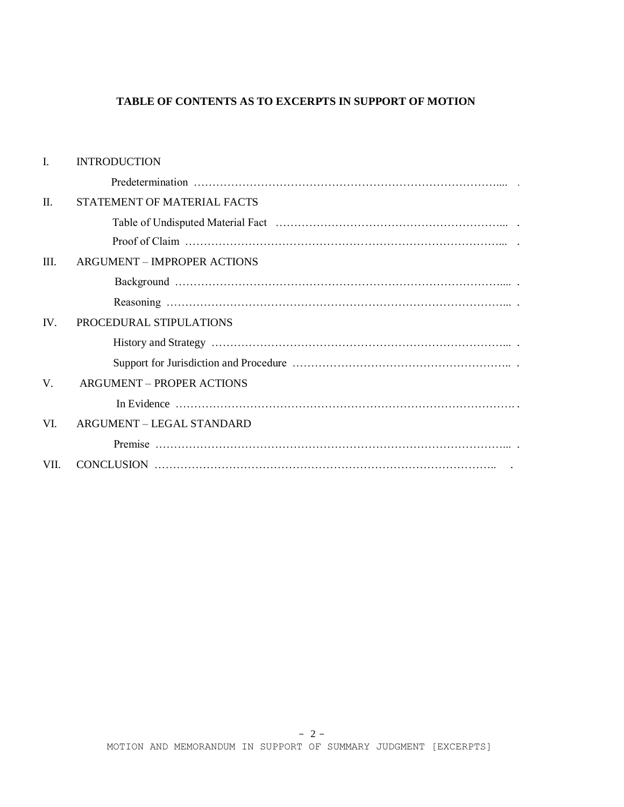# **TABLE OF CONTENTS AS TO EXCERPTS IN SUPPORT OF MOTION**

| $\mathbf{I}$ . | <b>INTRODUCTION</b>                |
|----------------|------------------------------------|
|                |                                    |
| П.             | STATEMENT OF MATERIAL FACTS        |
|                |                                    |
|                |                                    |
| III.           | <b>ARGUMENT – IMPROPER ACTIONS</b> |
|                |                                    |
|                |                                    |
| IV.            | PROCEDURAL STIPULATIONS            |
|                |                                    |
|                |                                    |
| V.             | <b>ARGUMENT - PROPER ACTIONS</b>   |
|                |                                    |
| VI.            | ARGUMENT - LEGAL STANDARD          |
|                |                                    |
| VII.           |                                    |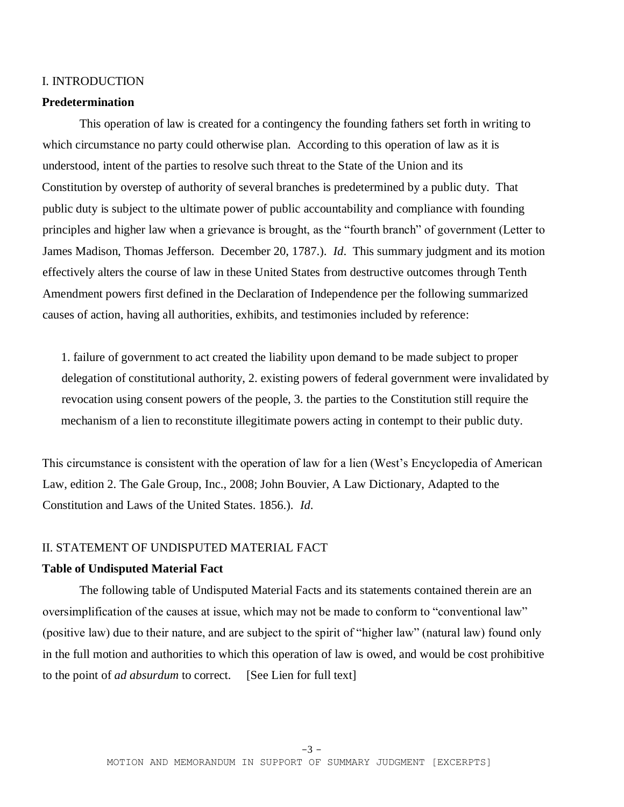#### I. INTRODUCTION

### **Predetermination**

This operation of law is created for a contingency the founding fathers set forth in writing to which circumstance no party could otherwise plan. According to this operation of law as it is understood, intent of the parties to resolve such threat to the State of the Union and its Constitution by overstep of authority of several branches is predetermined by a public duty. That public duty is subject to the ultimate power of public accountability and compliance with founding principles and higher law when a grievance is brought, as the "fourth branch" of government (Letter to James Madison, Thomas Jefferson. December 20, 1787.). *Id*. This summary judgment and its motion effectively alters the course of law in these United States from destructive outcomes through Tenth Amendment powers first defined in the Declaration of Independence per the following summarized causes of action, having all authorities, exhibits, and testimonies included by reference:

1. failure of government to act created the liability upon demand to be made subject to proper delegation of constitutional authority, 2. existing powers of federal government were invalidated by revocation using consent powers of the people, 3. the parties to the Constitution still require the mechanism of a lien to reconstitute illegitimate powers acting in contempt to their public duty.

This circumstance is consistent with the operation of law for a lien (West's Encyclopedia of American Law, edition 2. The Gale Group, Inc., 2008; John Bouvier, A Law Dictionary, Adapted to the Constitution and Laws of the United States. 1856.). *Id*.

#### II. STATEMENT OF UNDISPUTED MATERIAL FACT

### **Table of Undisputed Material Fact**

The following table of Undisputed Material Facts and its statements contained therein are an oversimplification of the causes at issue, which may not be made to conform to "conventional law" (positive law) due to their nature, and are subject to the spirit of "higher law" (natural law) found only in the full motion and authorities to which this operation of law is owed, and would be cost prohibitive to the point of *ad absurdum* to correct. [See Lien for full text]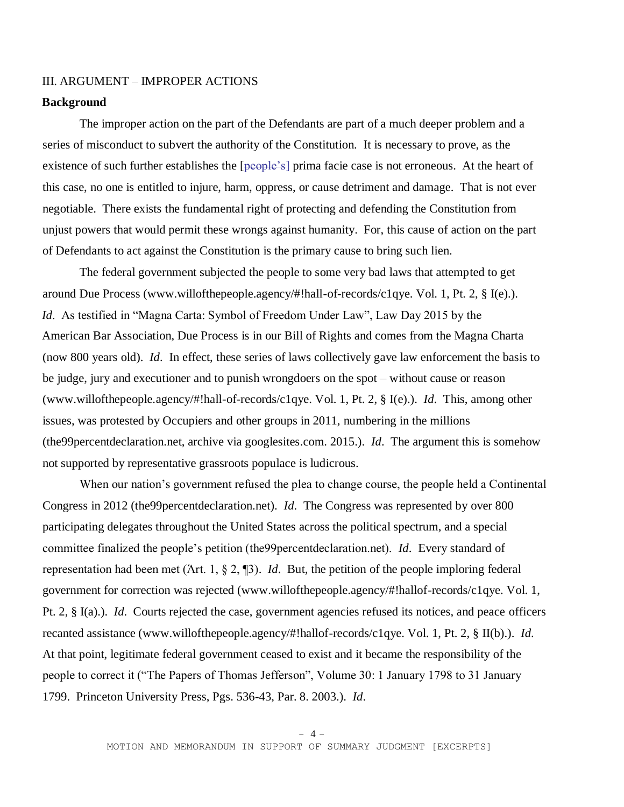## III. ARGUMENT – IMPROPER ACTIONS

#### **Background**

The improper action on the part of the Defendants are part of a much deeper problem and a series of misconduct to subvert the authority of the Constitution. It is necessary to prove, as the existence of such further establishes the [people's] prima facie case is not erroneous. At the heart of this case, no one is entitled to injure, harm, oppress, or cause detriment and damage. That is not ever negotiable. There exists the fundamental right of protecting and defending the Constitution from unjust powers that would permit these wrongs against humanity. For, this cause of action on the part of Defendants to act against the Constitution is the primary cause to bring such lien.

The federal government subjected the people to some very bad laws that attempted to get around Due Process (www.willofthepeople.agency/#!hall-of-records/c1qye. Vol. 1, Pt. 2, § I(e).). *Id*. As testified in "Magna Carta: Symbol of Freedom Under Law", Law Day 2015 by the American Bar Association, Due Process is in our Bill of Rights and comes from the Magna Charta (now 800 years old). *Id*. In effect, these series of laws collectively gave law enforcement the basis to be judge, jury and executioner and to punish wrongdoers on the spot – without cause or reason (www.willofthepeople.agency/#!hall-of-records/c1qye. Vol. 1, Pt. 2, § I(e).). *Id*. This, among other issues, was protested by Occupiers and other groups in 2011, numbering in the millions (the99percentdeclaration.net, archive via googlesites.com. 2015.). *Id*. The argument this is somehow not supported by representative grassroots populace is ludicrous.

When our nation's government refused the plea to change course, the people held a Continental Congress in 2012 (the99percentdeclaration.net). *Id*. The Congress was represented by over 800 participating delegates throughout the United States across the political spectrum, and a special committee finalized the people's petition (the99percentdeclaration.net). *Id*. Every standard of representation had been met (Άrt. 1, § 2, ¶3). *Id*. But, the petition of the people imploring federal government for correction was rejected (www.willofthepeople.agency/#!hallof-records/c1qye. Vol. 1, Pt. 2, § I(a).). *Id*. Courts rejected the case, government agencies refused its notices, and peace officers recanted assistance (www.willofthepeople.agency/#!hallof-records/c1qye. Vol. 1, Pt. 2, § II(b).). *Id*. At that point, legitimate federal government ceased to exist and it became the responsibility of the people to correct it ("The Papers of Thomas Jefferson", Volume 30: 1 January 1798 to 31 January 1799. Princeton University Press, Pgs. 536-43, Par. 8. 2003.). *Id*.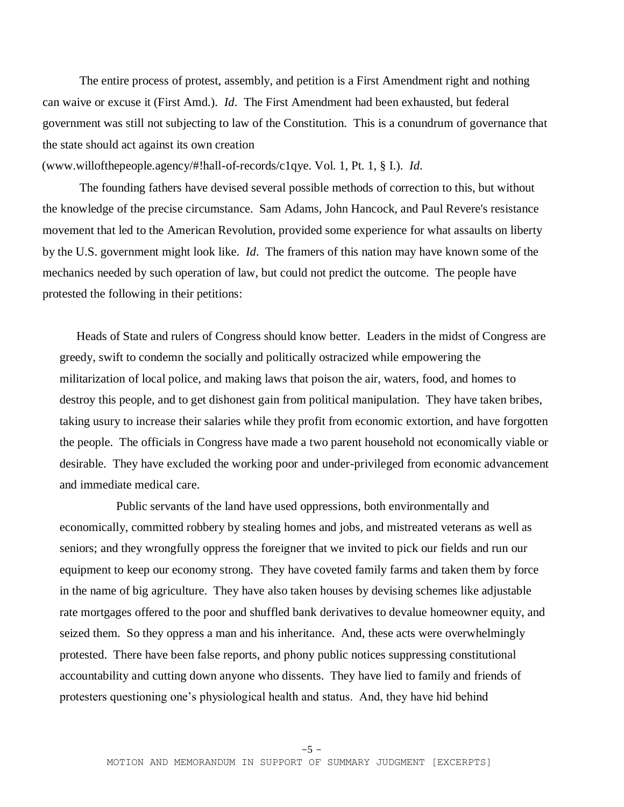The entire process of protest, assembly, and petition is a First Amendment right and nothing can waive or excuse it (First Amd.). *Id*. The First Amendment had been exhausted, but federal government was still not subjecting to law of the Constitution. This is a conundrum of governance that the state should act against its own creation

(www.willofthepeople.agency/#!hall-of-records/c1qye. Vol. 1, Pt. 1, § I.). *Id*.

The founding fathers have devised several possible methods of correction to this, but without the knowledge of the precise circumstance. Sam Adams, John Hancock, and Paul Revere's resistance movement that led to the American Revolution, provided some experience for what assaults on liberty by the U.S. government might look like. *Id*. The framers of this nation may have known some of the mechanics needed by such operation of law, but could not predict the outcome. The people have protested the following in their petitions:

Heads of State and rulers of Congress should know better. Leaders in the midst of Congress are greedy, swift to condemn the socially and politically ostracized while empowering the militarization of local police, and making laws that poison the air, waters, food, and homes to destroy this people, and to get dishonest gain from political manipulation. They have taken bribes, taking usury to increase their salaries while they profit from economic extortion, and have forgotten the people. The officials in Congress have made a two parent household not economically viable or desirable. They have excluded the working poor and under-privileged from economic advancement and immediate medical care.

 Public servants of the land have used oppressions, both environmentally and economically, committed robbery by stealing homes and jobs, and mistreated veterans as well as seniors; and they wrongfully oppress the foreigner that we invited to pick our fields and run our equipment to keep our economy strong. They have coveted family farms and taken them by force in the name of big agriculture. They have also taken houses by devising schemes like adjustable rate mortgages offered to the poor and shuffled bank derivatives to devalue homeowner equity, and seized them. So they oppress a man and his inheritance. And, these acts were overwhelmingly protested. There have been false reports, and phony public notices suppressing constitutional accountability and cutting down anyone who dissents. They have lied to family and friends of protesters questioning one's physiological health and status. And, they have hid behind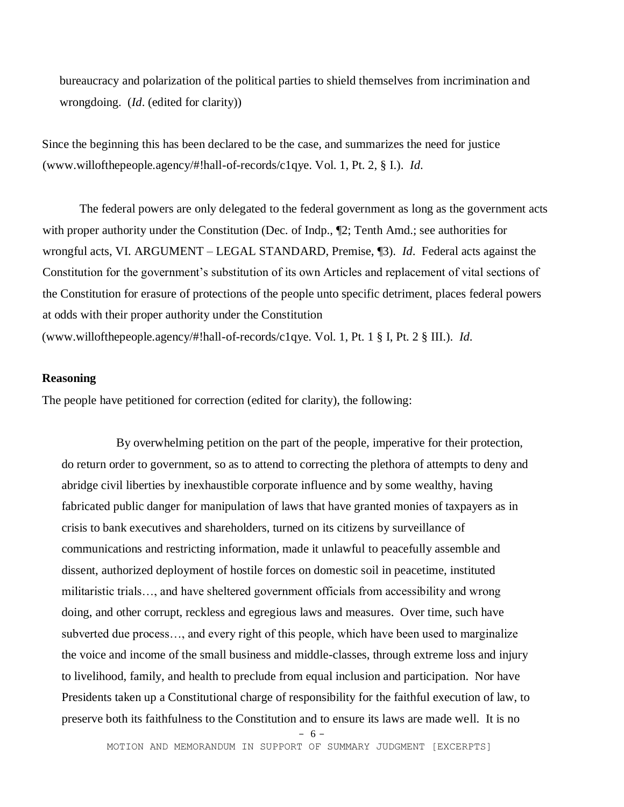bureaucracy and polarization of the political parties to shield themselves from incrimination and wrongdoing. (*Id*. (edited for clarity))

Since the beginning this has been declared to be the case, and summarizes the need for justice (www.willofthepeople.agency/#!hall-of-records/c1qye. Vol. 1, Pt. 2, § I.). *Id*.

The federal powers are only delegated to the federal government as long as the government acts with proper authority under the Constitution (Dec. of Indp.,  $\mathbb{Z}$ ); Tenth Amd.; see authorities for wrongful acts, VI. ARGUMENT – LEGAL STANDARD, Premise, ¶3). *Id*. Federal acts against the Constitution for the government's substitution of its own Articles and replacement of vital sections of the Constitution for erasure of protections of the people unto specific detriment, places federal powers at odds with their proper authority under the Constitution (www.willofthepeople.agency/#!hall-of-records/c1qye. Vol. 1, Pt. 1 § I, Pt. 2 § III.). *Id*.

## **Reasoning**

The people have petitioned for correction (edited for clarity), the following:

By overwhelming petition on the part of the people, imperative for their protection, do return order to government, so as to attend to correcting the plethora of attempts to deny and abridge civil liberties by inexhaustible corporate influence and by some wealthy, having fabricated public danger for manipulation of laws that have granted monies of taxpayers as in crisis to bank executives and shareholders, turned on its citizens by surveillance of communications and restricting information, made it unlawful to peacefully assemble and dissent, authorized deployment of hostile forces on domestic soil in peacetime, instituted militaristic trials…, and have sheltered government officials from accessibility and wrong doing, and other corrupt, reckless and egregious laws and measures. Over time, such have subverted due process…, and every right of this people, which have been used to marginalize the voice and income of the small business and middle-classes, through extreme loss and injury to livelihood, family, and health to preclude from equal inclusion and participation. Nor have Presidents taken up a Constitutional charge of responsibility for the faithful execution of law, to preserve both its faithfulness to the Constitution and to ensure its laws are made well. It is no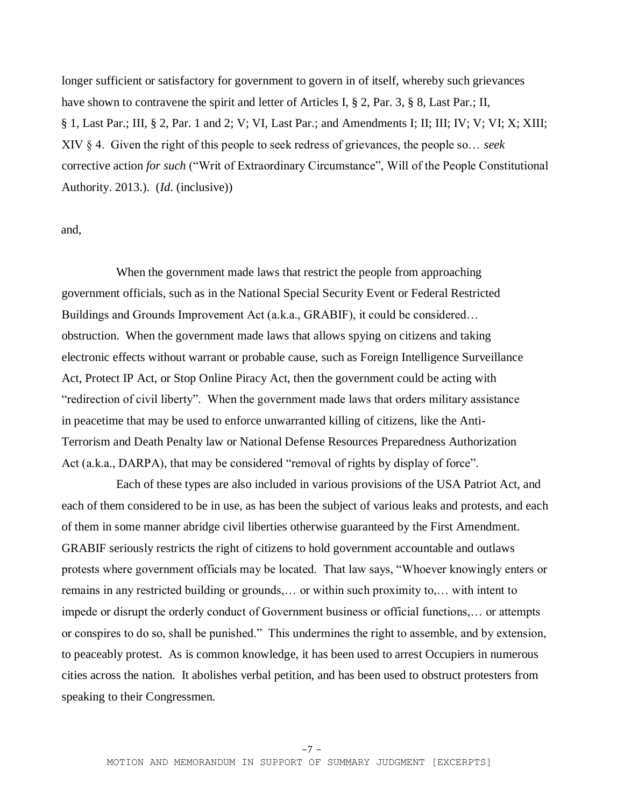longer sufficient or satisfactory for government to govern in of itself, whereby such grievances have shown to contravene the spirit and letter of Articles I, § 2, Par. 3, § 8, Last Par.; II, § 1, Last Par.; III, § 2, Par. 1 and 2; V; VI, Last Par.; and Amendments I; II; III; IV; V; VI; X; XIII; XIV § 4. Given the right of this people to seek redress of grievances, the people so… *seek* corrective action *for such* ("Writ of Extraordinary Circumstance", Will of the People Constitutional Authority. 2013.). (*Id*. (inclusive))

## and,

When the government made laws that restrict the people from approaching government officials, such as in the National Special Security Event or Federal Restricted Buildings and Grounds Improvement Act (a.k.a., GRABIF), it could be considered… obstruction. When the government made laws that allows spying on citizens and taking electronic effects without warrant or probable cause, such as Foreign Intelligence Surveillance Act, Protect IP Act, or Stop Online Piracy Act, then the government could be acting with "redirection of civil liberty". When the government made laws that orders military assistance in peacetime that may be used to enforce unwarranted killing of citizens, like the Anti-Terrorism and Death Penalty law or National Defense Resources Preparedness Authorization Act (a.k.a., DARPA), that may be considered "removal of rights by display of force".

Each of these types are also included in various provisions of the USA Patriot Act, and each of them considered to be in use, as has been the subject of various leaks and protests, and each of them in some manner abridge civil liberties otherwise guaranteed by the First Amendment. GRABIF seriously restricts the right of citizens to hold government accountable and outlaws protests where government officials may be located. That law says, "Whoever knowingly enters or remains in any restricted building or grounds,… or within such proximity to,… with intent to impede or disrupt the orderly conduct of Government business or official functions,… or attempts or conspires to do so, shall be punished." This undermines the right to assemble, and by extension, to peaceably protest. As is common knowledge, it has been used to arrest Occupiers in numerous cities across the nation. It abolishes verbal petition, and has been used to obstruct protesters from speaking to their Congressmen.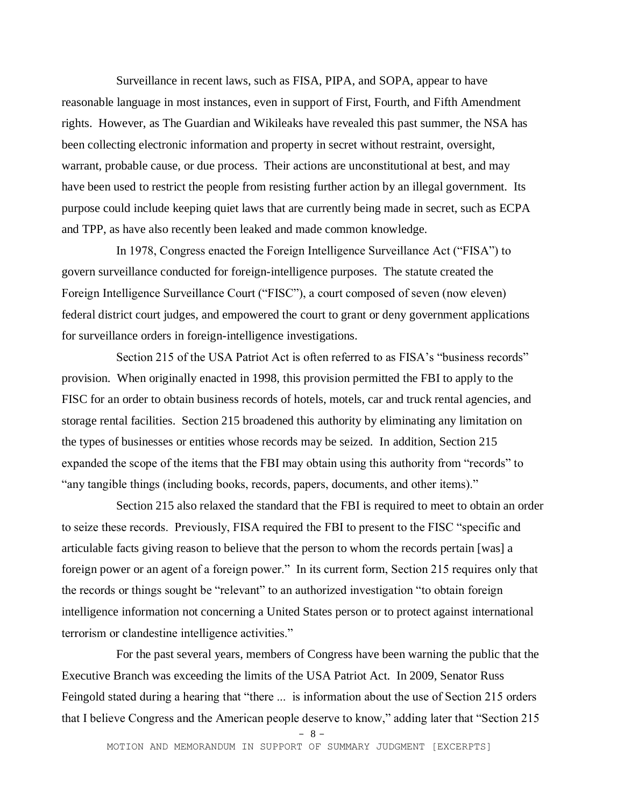Surveillance in recent laws, such as FISA, PIPA, and SOPA, appear to have reasonable language in most instances, even in support of First, Fourth, and Fifth Amendment rights. However, as The Guardian and Wikileaks have revealed this past summer, the NSA has been collecting electronic information and property in secret without restraint, oversight, warrant, probable cause, or due process. Their actions are unconstitutional at best, and may have been used to restrict the people from resisting further action by an illegal government. Its purpose could include keeping quiet laws that are currently being made in secret, such as ECPA and TPP, as have also recently been leaked and made common knowledge.

In 1978, Congress enacted the Foreign Intelligence Surveillance Act ("FISA") to govern surveillance conducted for foreign-intelligence purposes. The statute created the Foreign Intelligence Surveillance Court ("FISC"), a court composed of seven (now eleven) federal district court judges, and empowered the court to grant or deny government applications for surveillance orders in foreign-intelligence investigations.

 Section 215 of the USA Patriot Act is often referred to as FISA's "business records" provision. When originally enacted in 1998, this provision permitted the FBI to apply to the FISC for an order to obtain business records of hotels, motels, car and truck rental agencies, and storage rental facilities. Section 215 broadened this authority by eliminating any limitation on the types of businesses or entities whose records may be seized. In addition, Section 215 expanded the scope of the items that the FBI may obtain using this authority from "records" to "any tangible things (including books, records, papers, documents, and other items)."

Section 215 also relaxed the standard that the FBI is required to meet to obtain an order to seize these records. Previously, FISA required the FBI to present to the FISC "specific and articulable facts giving reason to believe that the person to whom the records pertain [was] a foreign power or an agent of a foreign power." In its current form, Section 215 requires only that the records or things sought be "relevant" to an authorized investigation "to obtain foreign intelligence information not concerning a United States person or to protect against international terrorism or clandestine intelligence activities."

 For the past several years, members of Congress have been warning the public that the Executive Branch was exceeding the limits of the USA Patriot Act. In 2009, Senator Russ Feingold stated during a hearing that "there ... is information about the use of Section 215 orders that I believe Congress and the American people deserve to know," adding later that "Section 215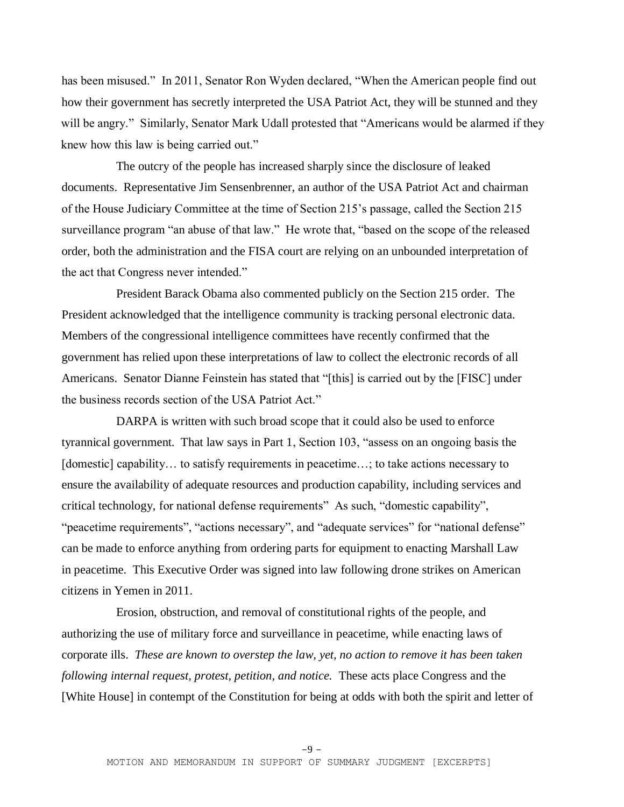has been misused." In 2011, Senator Ron Wyden declared, "When the American people find out how their government has secretly interpreted the USA Patriot Act, they will be stunned and they will be angry." Similarly, Senator Mark Udall protested that "Americans would be alarmed if they knew how this law is being carried out."

The outcry of the people has increased sharply since the disclosure of leaked documents. Representative Jim Sensenbrenner, an author of the USA Patriot Act and chairman of the House Judiciary Committee at the time of Section 215's passage, called the Section 215 surveillance program "an abuse of that law." He wrote that, "based on the scope of the released order, both the administration and the FISA court are relying on an unbounded interpretation of the act that Congress never intended."

President Barack Obama also commented publicly on the Section 215 order. The President acknowledged that the intelligence community is tracking personal electronic data. Members of the congressional intelligence committees have recently confirmed that the government has relied upon these interpretations of law to collect the electronic records of all Americans. Senator Dianne Feinstein has stated that "[this] is carried out by the [FISC] under the business records section of the USA Patriot Act."

DARPA is written with such broad scope that it could also be used to enforce tyrannical government. That law says in Part 1, Section 103, "assess on an ongoing basis the [domestic] capability... to satisfy requirements in peacetime...; to take actions necessary to ensure the availability of adequate resources and production capability, including services and critical technology, for national defense requirements" As such, "domestic capability", "peacetime requirements", "actions necessary", and "adequate services" for "national defense" can be made to enforce anything from ordering parts for equipment to enacting Marshall Law in peacetime. This Executive Order was signed into law following drone strikes on American citizens in Yemen in 2011.

Erosion, obstruction, and removal of constitutional rights of the people, and authorizing the use of military force and surveillance in peacetime, while enacting laws of corporate ills. *These are known to overstep the law, yet, no action to remove it has been taken following internal request, protest, petition, and notice.* These acts place Congress and the [White House] in contempt of the Constitution for being at odds with both the spirit and letter of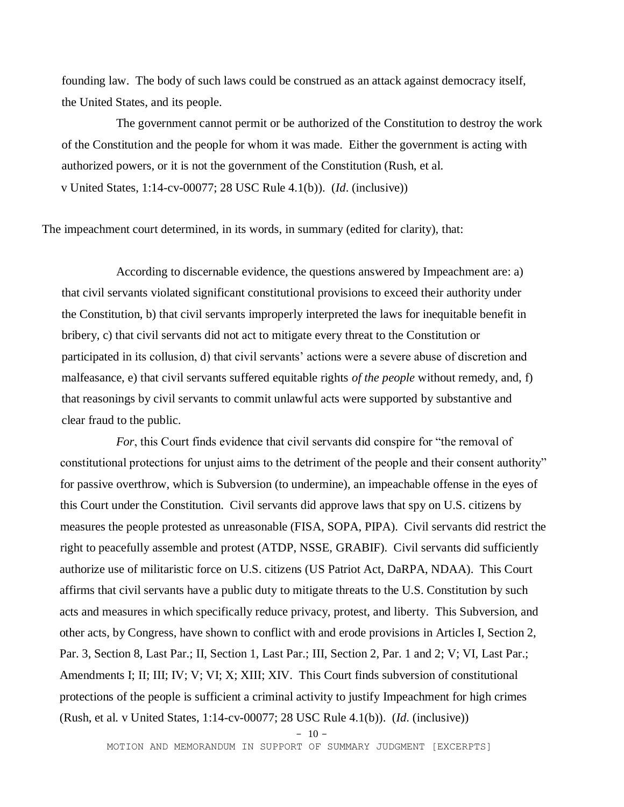founding law. The body of such laws could be construed as an attack against democracy itself, the United States, and its people.

The government cannot permit or be authorized of the Constitution to destroy the work of the Constitution and the people for whom it was made. Either the government is acting with authorized powers, or it is not the government of the Constitution (Rush, et al. v United States, 1:14-cv-00077; 28 USC Rule 4.1(b)). (*Id*. (inclusive))

The impeachment court determined, in its words, in summary (edited for clarity), that:

According to discernable evidence, the questions answered by Impeachment are: a) that civil servants violated significant constitutional provisions to exceed their authority under the Constitution, b) that civil servants improperly interpreted the laws for inequitable benefit in bribery, c) that civil servants did not act to mitigate every threat to the Constitution or participated in its collusion, d) that civil servants' actions were a severe abuse of discretion and malfeasance, e) that civil servants suffered equitable rights *of the people* without remedy, and, f) that reasonings by civil servants to commit unlawful acts were supported by substantive and clear fraud to the public.

*For*, this Court finds evidence that civil servants did conspire for "the removal of constitutional protections for unjust aims to the detriment of the people and their consent authority" for passive overthrow, which is Subversion (to undermine), an impeachable offense in the eyes of this Court under the Constitution. Civil servants did approve laws that spy on U.S. citizens by measures the people protested as unreasonable (FISA, SOPA, PIPA). Civil servants did restrict the right to peacefully assemble and protest (ATDP, NSSE, GRABIF). Civil servants did sufficiently authorize use of militaristic force on U.S. citizens (US Patriot Act, DaRPA, NDAA). This Court affirms that civil servants have a public duty to mitigate threats to the U.S. Constitution by such acts and measures in which specifically reduce privacy, protest, and liberty. This Subversion, and other acts, by Congress, have shown to conflict with and erode provisions in Articles I, Section 2, Par. 3, Section 8, Last Par.; II, Section 1, Last Par.; III, Section 2, Par. 1 and 2; V; VI, Last Par.; Amendments I; II; III; IV; V; VI; X; XIII; XIV. This Court finds subversion of constitutional protections of the people is sufficient a criminal activity to justify Impeachment for high crimes (Rush, et al. v United States, 1:14-cv-00077; 28 USC Rule 4.1(b)). (*Id*. (inclusive))

 $-10-$ 

MOTION AND MEMORANDUM IN SUPPORT OF SUMMARY JUDGMENT [EXCERPTS]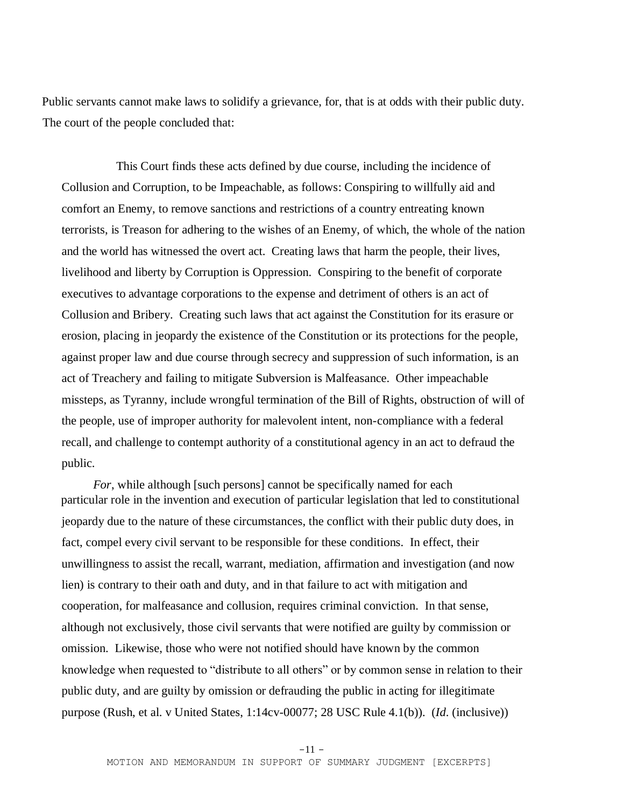Public servants cannot make laws to solidify a grievance, for, that is at odds with their public duty. The court of the people concluded that:

This Court finds these acts defined by due course, including the incidence of Collusion and Corruption, to be Impeachable, as follows: Conspiring to willfully aid and comfort an Enemy, to remove sanctions and restrictions of a country entreating known terrorists, is Treason for adhering to the wishes of an Enemy, of which, the whole of the nation and the world has witnessed the overt act. Creating laws that harm the people, their lives, livelihood and liberty by Corruption is Oppression. Conspiring to the benefit of corporate executives to advantage corporations to the expense and detriment of others is an act of Collusion and Bribery. Creating such laws that act against the Constitution for its erasure or erosion, placing in jeopardy the existence of the Constitution or its protections for the people, against proper law and due course through secrecy and suppression of such information, is an act of Treachery and failing to mitigate Subversion is Malfeasance. Other impeachable missteps, as Tyranny, include wrongful termination of the Bill of Rights, obstruction of will of the people, use of improper authority for malevolent intent, non-compliance with a federal recall, and challenge to contempt authority of a constitutional agency in an act to defraud the public.

*For*, while although [such persons] cannot be specifically named for each particular role in the invention and execution of particular legislation that led to constitutional jeopardy due to the nature of these circumstances, the conflict with their public duty does, in fact, compel every civil servant to be responsible for these conditions. In effect, their unwillingness to assist the recall, warrant, mediation, affirmation and investigation (and now lien) is contrary to their oath and duty, and in that failure to act with mitigation and cooperation, for malfeasance and collusion, requires criminal conviction. In that sense, although not exclusively, those civil servants that were notified are guilty by commission or omission. Likewise, those who were not notified should have known by the common knowledge when requested to "distribute to all others" or by common sense in relation to their public duty, and are guilty by omission or defrauding the public in acting for illegitimate purpose (Rush, et al. v United States, 1:14cv-00077; 28 USC Rule 4.1(b)). (*Id*. (inclusive))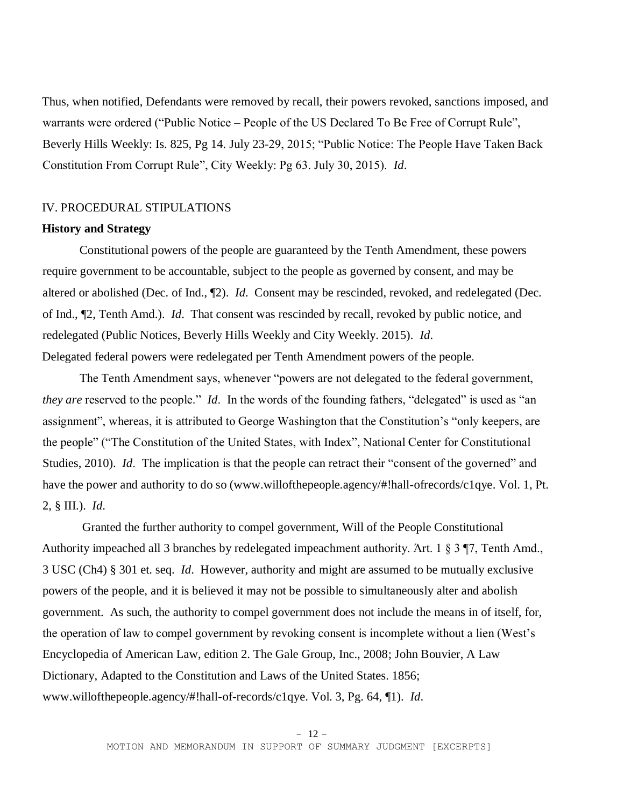Thus, when notified, Defendants were removed by recall, their powers revoked, sanctions imposed, and warrants were ordered ("Public Notice – People of the US Declared To Be Free of Corrupt Rule", Beverly Hills Weekly: Is. 825, Pg 14. July 23-29, 2015; "Public Notice: The People Have Taken Back Constitution From Corrupt Rule", City Weekly: Pg 63. July 30, 2015). *Id*.

### IV. PROCEDURAL STIPULATIONS

#### **History and Strategy**

Constitutional powers of the people are guaranteed by the Tenth Amendment, these powers require government to be accountable, subject to the people as governed by consent, and may be altered or abolished (Dec. of Ind., ¶2). *Id*. Consent may be rescinded, revoked, and redelegated (Dec. of Ind., ¶2, Tenth Amd.). *Id*. That consent was rescinded by recall, revoked by public notice, and redelegated (Public Notices, Beverly Hills Weekly and City Weekly. 2015). *Id*. Delegated federal powers were redelegated per Tenth Amendment powers of the people.

The Tenth Amendment says, whenever "powers are not delegated to the federal government, *they are* reserved to the people." *Id*. In the words of the founding fathers, "delegated" is used as "an assignment", whereas, it is attributed to George Washington that the Constitution's "only keepers, are the people" ("The Constitution of the United States, with Index", National Center for Constitutional Studies, 2010). *Id.* The implication is that the people can retract their "consent of the governed" and have the power and authority to do so (www.willofthepeople.agency/#!hall-ofrecords/c1qye. Vol. 1, Pt. 2, § III.). *Id*.

Granted the further authority to compel government, Will of the People Constitutional Authority impeached all 3 branches by redelegated impeachment authority. Άrt. 1 § 3 ¶7, Tenth Amd., 3 USC (Ch4) § 301 et. seq. *Id*. However, authority and might are assumed to be mutually exclusive powers of the people, and it is believed it may not be possible to simultaneously alter and abolish government. As such, the authority to compel government does not include the means in of itself, for, the operation of law to compel government by revoking consent is incomplete without a lien (West's Encyclopedia of American Law, edition 2. The Gale Group, Inc., 2008; John Bouvier, A Law Dictionary, Adapted to the Constitution and Laws of the United States. 1856; www.willofthepeople.agency/#!hall-of-records/c1qye. Vol. 3, Pg. 64, ¶1). *Id*.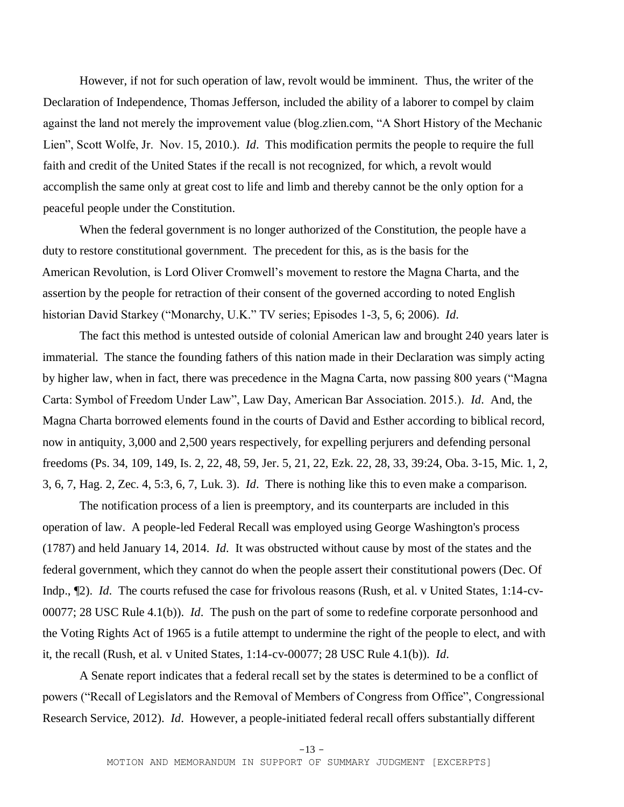However, if not for such operation of law, revolt would be imminent. Thus, the writer of the Declaration of Independence, Thomas Jefferson, included the ability of a laborer to compel by claim against the land not merely the improvement value (blog.zlien.com, "A Short History of the Mechanic Lien", Scott Wolfe, Jr. Nov. 15, 2010.). *Id*. This modification permits the people to require the full faith and credit of the United States if the recall is not recognized, for which, a revolt would accomplish the same only at great cost to life and limb and thereby cannot be the only option for a peaceful people under the Constitution.

When the federal government is no longer authorized of the Constitution, the people have a duty to restore constitutional government. The precedent for this, as is the basis for the American Revolution, is Lord Oliver Cromwell's movement to restore the Magna Charta, and the assertion by the people for retraction of their consent of the governed according to noted English historian David Starkey ("Monarchy, U.K." TV series; Episodes 1-3, 5, 6; 2006). *Id*.

The fact this method is untested outside of colonial American law and brought 240 years later is immaterial. The stance the founding fathers of this nation made in their Declaration was simply acting by higher law, when in fact, there was precedence in the Magna Carta, now passing 800 years ("Magna Carta: Symbol of Freedom Under Law", Law Day, American Bar Association. 2015.). *Id*. And, the Magna Charta borrowed elements found in the courts of David and Esther according to biblical record, now in antiquity, 3,000 and 2,500 years respectively, for expelling perjurers and defending personal freedoms (Ps. 34, 109, 149, Is. 2, 22, 48, 59, Jer. 5, 21, 22, Ezk. 22, 28, 33, 39:24, Oba. 3-15, Mic. 1, 2, 3, 6, 7, Hag. 2, Zec. 4, 5:3, 6, 7, Luk. 3). *Id*. There is nothing like this to even make a comparison.

The notification process of a lien is preemptory, and its counterparts are included in this operation of law. A people-led Federal Recall was employed using George Washington's process (1787) and held January 14, 2014. *Id*. It was obstructed without cause by most of the states and the federal government, which they cannot do when the people assert their constitutional powers (Dec. Of Indp., ¶2). *Id*. The courts refused the case for frivolous reasons (Rush, et al. v United States, 1:14-cv-00077; 28 USC Rule 4.1(b)). *Id*. The push on the part of some to redefine corporate personhood and the Voting Rights Act of 1965 is a futile attempt to undermine the right of the people to elect, and with it, the recall (Rush, et al. v United States, 1:14-cv-00077; 28 USC Rule 4.1(b)). *Id*.

A Senate report indicates that a federal recall set by the states is determined to be a conflict of powers ("Recall of Legislators and the Removal of Members of Congress from Office", Congressional Research Service, 2012). *Id*. However, a people-initiated federal recall offers substantially different

 $-13 -$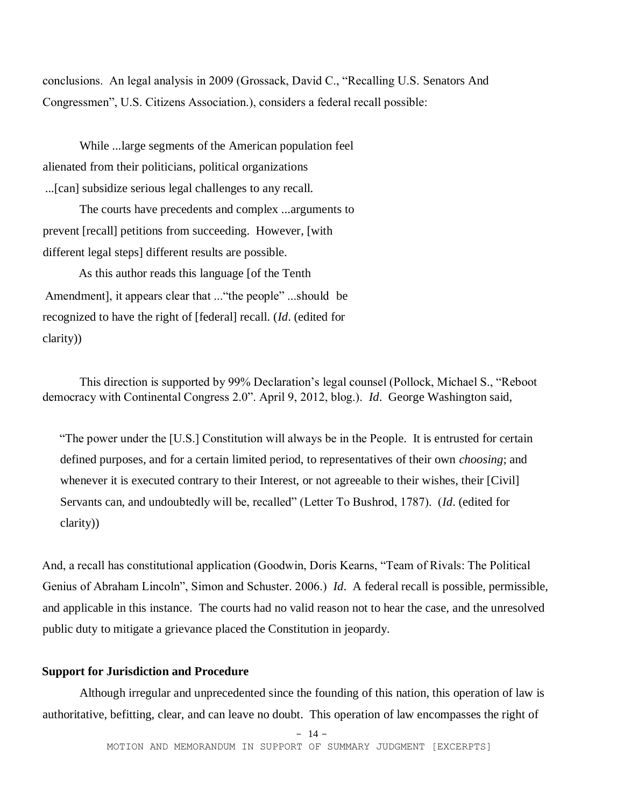conclusions. An legal analysis in 2009 (Grossack, David C., "Recalling U.S. Senators And Congressmen", U.S. Citizens Association.), considers a federal recall possible:

While ...large segments of the American population feel alienated from their politicians, political organizations ...[can] subsidize serious legal challenges to any recall.

 The courts have precedents and complex ...arguments to prevent [recall] petitions from succeeding. However, [with different legal steps] different results are possible.

 As this author reads this language [of the Tenth Amendment], it appears clear that ..."the people" ...should be recognized to have the right of [federal] recall. (*Id*. (edited for clarity))

This direction is supported by 99% Declaration's legal counsel (Pollock, Michael S., "Reboot democracy with Continental Congress 2.0". April 9, 2012, blog.). *Id*. George Washington said,

"The power under the [U.S.] Constitution will always be in the People. It is entrusted for certain defined purposes, and for a certain limited period, to representatives of their own *choosing*; and whenever it is executed contrary to their Interest, or not agreeable to their wishes, their [Civil] Servants can, and undoubtedly will be, recalled" (Letter To Bushrod, 1787). (*Id*. (edited for clarity))

And, a recall has constitutional application (Goodwin, Doris Kearns, "Team of Rivals: The Political Genius of Abraham Lincoln", Simon and Schuster. 2006.) *Id*. A federal recall is possible, permissible, and applicable in this instance. The courts had no valid reason not to hear the case, and the unresolved public duty to mitigate a grievance placed the Constitution in jeopardy.

# **Support for Jurisdiction and Procedure**

Although irregular and unprecedented since the founding of this nation, this operation of law is authoritative, befitting, clear, and can leave no doubt. This operation of law encompasses the right of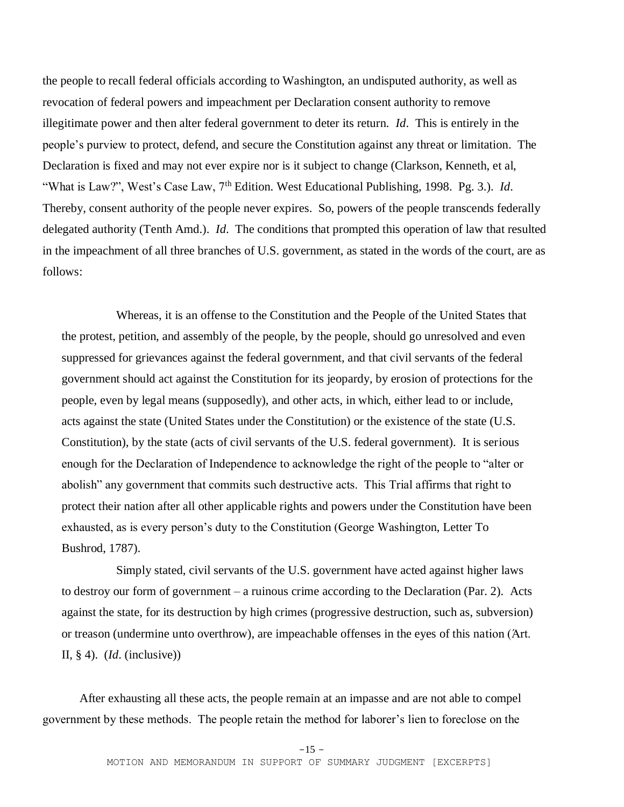the people to recall federal officials according to Washington, an undisputed authority, as well as revocation of federal powers and impeachment per Declaration consent authority to remove illegitimate power and then alter federal government to deter its return. *Id*. This is entirely in the people's purview to protect, defend, and secure the Constitution against any threat or limitation. The Declaration is fixed and may not ever expire nor is it subject to change (Clarkson, Kenneth, et al, "What is Law?", West's Case Law, 7th Edition. West Educational Publishing, 1998. Pg. 3.). *Id*. Thereby, consent authority of the people never expires. So, powers of the people transcends federally delegated authority (Tenth Amd.). *Id*. The conditions that prompted this operation of law that resulted in the impeachment of all three branches of U.S. government, as stated in the words of the court, are as follows:

Whereas, it is an offense to the Constitution and the People of the United States that the protest, petition, and assembly of the people, by the people, should go unresolved and even suppressed for grievances against the federal government, and that civil servants of the federal government should act against the Constitution for its jeopardy, by erosion of protections for the people, even by legal means (supposedly), and other acts, in which, either lead to or include, acts against the state (United States under the Constitution) or the existence of the state (U.S. Constitution), by the state (acts of civil servants of the U.S. federal government). It is serious enough for the Declaration of Independence to acknowledge the right of the people to "alter or abolish" any government that commits such destructive acts. This Trial affirms that right to protect their nation after all other applicable rights and powers under the Constitution have been exhausted, as is every person's duty to the Constitution (George Washington, Letter To Bushrod, 1787).

Simply stated, civil servants of the U.S. government have acted against higher laws to destroy our form of government – a ruinous crime according to the Declaration (Par. 2). Acts against the state, for its destruction by high crimes (progressive destruction, such as, subversion) or treason (undermine unto overthrow), are impeachable offenses in the eyes of this nation (Άrt. II, § 4). (*Id*. (inclusive))

After exhausting all these acts, the people remain at an impasse and are not able to compel government by these methods. The people retain the method for laborer's lien to foreclose on the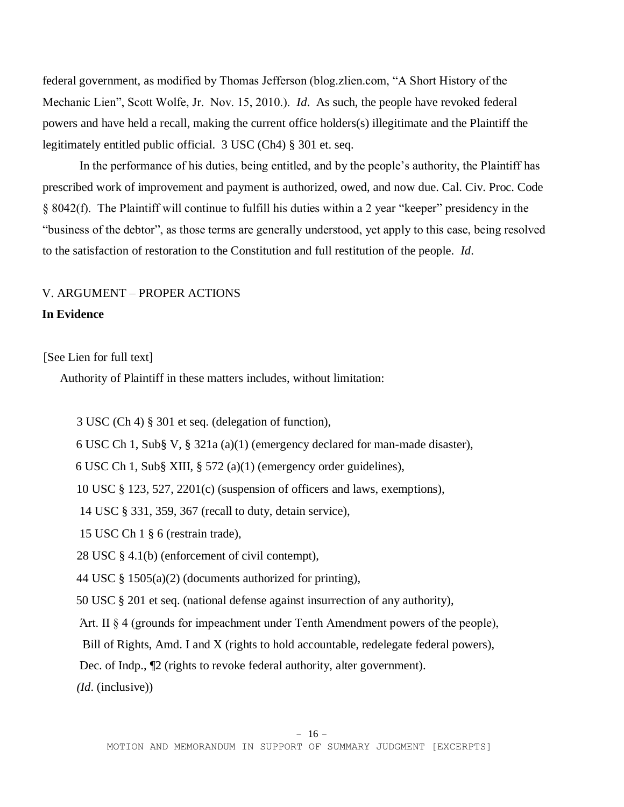federal government, as modified by Thomas Jefferson (blog.zlien.com, "A Short History of the Mechanic Lien", Scott Wolfe, Jr. Nov. 15, 2010.). *Id*. As such, the people have revoked federal powers and have held a recall, making the current office holders(s) illegitimate and the Plaintiff the legitimately entitled public official. 3 USC (Ch4) § 301 et. seq.

In the performance of his duties, being entitled, and by the people's authority, the Plaintiff has prescribed work of improvement and payment is authorized, owed, and now due. Cal. Civ. Proc. Code § 8042(f). The Plaintiff will continue to fulfill his duties within a 2 year "keeper" presidency in the "business of the debtor", as those terms are generally understood, yet apply to this case, being resolved to the satisfaction of restoration to the Constitution and full restitution of the people. *Id*.

# V. ARGUMENT – PROPER ACTIONS

### **In Evidence**

[See Lien for full text]

Authority of Plaintiff in these matters includes, without limitation:

3 USC (Ch 4) § 301 et seq. (delegation of function),

6 USC Ch 1, Sub§ V, § 321a (a)(1) (emergency declared for man-made disaster),

6 USC Ch 1, Sub§ XIII, § 572 (a)(1) (emergency order guidelines),

10 USC § 123, 527, 2201(c) (suspension of officers and laws, exemptions),

14 USC § 331, 359, 367 (recall to duty, detain service),

15 USC Ch 1 § 6 (restrain trade),

28 USC § 4.1(b) (enforcement of civil contempt),

44 USC § 1505(a)(2) (documents authorized for printing),

50 USC § 201 et seq. (national defense against insurrection of any authority),

Άrt. II § 4 (grounds for impeachment under Tenth Amendment powers of the people),

Bill of Rights, Amd. I and X (rights to hold accountable, redelegate federal powers),

Dec. of Indp., ¶2 (rights to revoke federal authority, alter government).

*(Id*. (inclusive))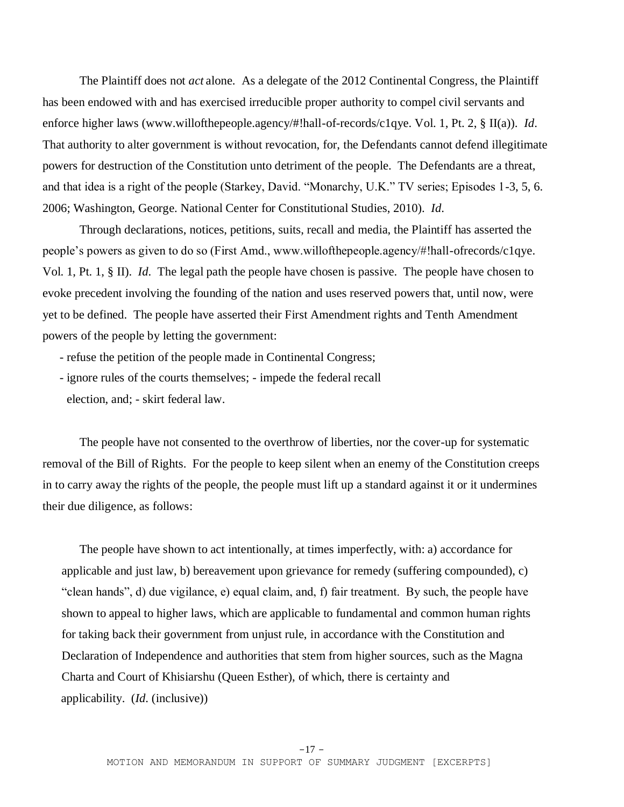The Plaintiff does not *act* alone. As a delegate of the 2012 Continental Congress, the Plaintiff has been endowed with and has exercised irreducible proper authority to compel civil servants and enforce higher laws (www.willofthepeople.agency/#!hall-of-records/c1qye. Vol. 1, Pt. 2, § II(a)). *Id*. That authority to alter government is without revocation, for, the Defendants cannot defend illegitimate powers for destruction of the Constitution unto detriment of the people. The Defendants are a threat, and that idea is a right of the people (Starkey, David. "Monarchy, U.K." TV series; Episodes 1-3, 5, 6. 2006; Washington, George. National Center for Constitutional Studies, 2010). *Id*.

Through declarations, notices, petitions, suits, recall and media, the Plaintiff has asserted the people's powers as given to do so (First Amd., www.willofthepeople.agency/#!hall-ofrecords/c1qye. Vol. 1, Pt. 1, § II). *Id*. The legal path the people have chosen is passive. The people have chosen to evoke precedent involving the founding of the nation and uses reserved powers that, until now, were yet to be defined. The people have asserted their First Amendment rights and Tenth Amendment powers of the people by letting the government:

- refuse the petition of the people made in Continental Congress;
- ignore rules of the courts themselves; impede the federal recall election, and; - skirt federal law.

The people have not consented to the overthrow of liberties, nor the cover-up for systematic removal of the Bill of Rights. For the people to keep silent when an enemy of the Constitution creeps in to carry away the rights of the people, the people must lift up a standard against it or it undermines their due diligence, as follows:

The people have shown to act intentionally, at times imperfectly, with: a) accordance for applicable and just law, b) bereavement upon grievance for remedy (suffering compounded), c) "clean hands", d) due vigilance, e) equal claim, and, f) fair treatment. By such, the people have shown to appeal to higher laws, which are applicable to fundamental and common human rights for taking back their government from unjust rule, in accordance with the Constitution and Declaration of Independence and authorities that stem from higher sources, such as the Magna Charta and Court of Khisiarshu (Queen Esther), of which, there is certainty and applicability. (*Id*. (inclusive))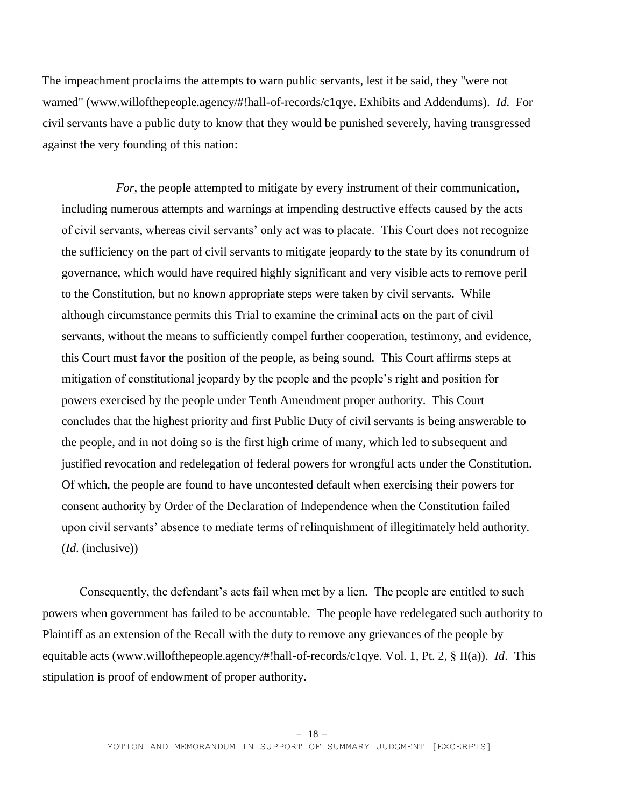The impeachment proclaims the attempts to warn public servants, lest it be said, they "were not warned" (www.willofthepeople.agency/#!hall-of-records/c1qye. Exhibits and Addendums). *Id*. For civil servants have a public duty to know that they would be punished severely, having transgressed against the very founding of this nation:

*For*, the people attempted to mitigate by every instrument of their communication, including numerous attempts and warnings at impending destructive effects caused by the acts of civil servants, whereas civil servants' only act was to placate. This Court does not recognize the sufficiency on the part of civil servants to mitigate jeopardy to the state by its conundrum of governance, which would have required highly significant and very visible acts to remove peril to the Constitution, but no known appropriate steps were taken by civil servants. While although circumstance permits this Trial to examine the criminal acts on the part of civil servants, without the means to sufficiently compel further cooperation, testimony, and evidence, this Court must favor the position of the people, as being sound. This Court affirms steps at mitigation of constitutional jeopardy by the people and the people's right and position for powers exercised by the people under Tenth Amendment proper authority. This Court concludes that the highest priority and first Public Duty of civil servants is being answerable to the people, and in not doing so is the first high crime of many, which led to subsequent and justified revocation and redelegation of federal powers for wrongful acts under the Constitution. Of which, the people are found to have uncontested default when exercising their powers for consent authority by Order of the Declaration of Independence when the Constitution failed upon civil servants' absence to mediate terms of relinquishment of illegitimately held authority. (*Id*. (inclusive))

Consequently, the defendant's acts fail when met by a lien. The people are entitled to such powers when government has failed to be accountable. The people have redelegated such authority to Plaintiff as an extension of the Recall with the duty to remove any grievances of the people by equitable acts (www.willofthepeople.agency/#!hall-of-records/c1qye. Vol. 1, Pt. 2, § II(a)). *Id*. This stipulation is proof of endowment of proper authority.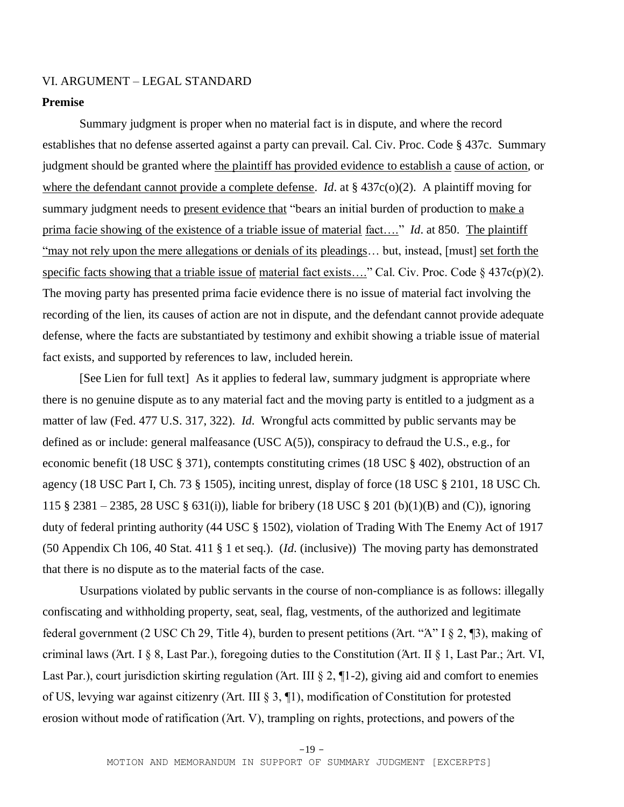# VI. ARGUMENT – LEGAL STANDARD

### **Premise**

Summary judgment is proper when no material fact is in dispute, and where the record establishes that no defense asserted against a party can prevail. Cal. Civ. Proc. Code § 437c. Summary judgment should be granted where the plaintiff has provided evidence to establish a cause of action, or where the defendant cannot provide a complete defense. *Id*. at § 437c(o)(2). A plaintiff moving for summary judgment needs to present evidence that "bears an initial burden of production to make a prima facie showing of the existence of a triable issue of material fact…." *Id*. at 850. The plaintiff "may not rely upon the mere allegations or denials of its pleadings… but, instead, [must] set forth the specific facts showing that a triable issue of material fact exists...." Cal. Civ. Proc. Code  $\S$  437c(p)(2). The moving party has presented prima facie evidence there is no issue of material fact involving the recording of the lien, its causes of action are not in dispute, and the defendant cannot provide adequate defense, where the facts are substantiated by testimony and exhibit showing a triable issue of material fact exists, and supported by references to law, included herein.

[See Lien for full text] As it applies to federal law, summary judgment is appropriate where there is no genuine dispute as to any material fact and the moving party is entitled to a judgment as a matter of law (Fed. 477 U.S. 317, 322). *Id*. Wrongful acts committed by public servants may be defined as or include: general malfeasance (USC A(5)), conspiracy to defraud the U.S., e.g., for economic benefit (18 USC § 371), contempts constituting crimes (18 USC § 402), obstruction of an agency (18 USC Part I, Ch. 73 § 1505), inciting unrest, display of force (18 USC § 2101, 18 USC Ch. 115 § 2381 – 2385, 28 USC § 631(i)), liable for bribery (18 USC § 201 (b)(1)(B) and (C)), ignoring duty of federal printing authority (44 USC § 1502), violation of Trading With The Enemy Act of 1917 (50 Appendix Ch 106, 40 Stat. 411 § 1 et seq.). (*Id*. (inclusive)) The moving party has demonstrated that there is no dispute as to the material facts of the case.

 Usurpations violated by public servants in the course of non-compliance is as follows: illegally confiscating and withholding property, seat, seal, flag, vestments, of the authorized and legitimate federal government (2 USC Ch 29, Title 4), burden to present petitions (Άrt. "Ά" I § 2, ¶3), making of criminal laws (Άrt. I § 8, Last Par.), foregoing duties to the Constitution (Άrt. II § 1, Last Par.; Άrt. VI, Last Par.), court jurisdiction skirting regulation (Art. III § 2, ¶1-2), giving aid and comfort to enemies of US, levying war against citizenry (Άrt. III § 3, ¶1), modification of Constitution for protested erosion without mode of ratification (Άrt. V), trampling on rights, protections, and powers of the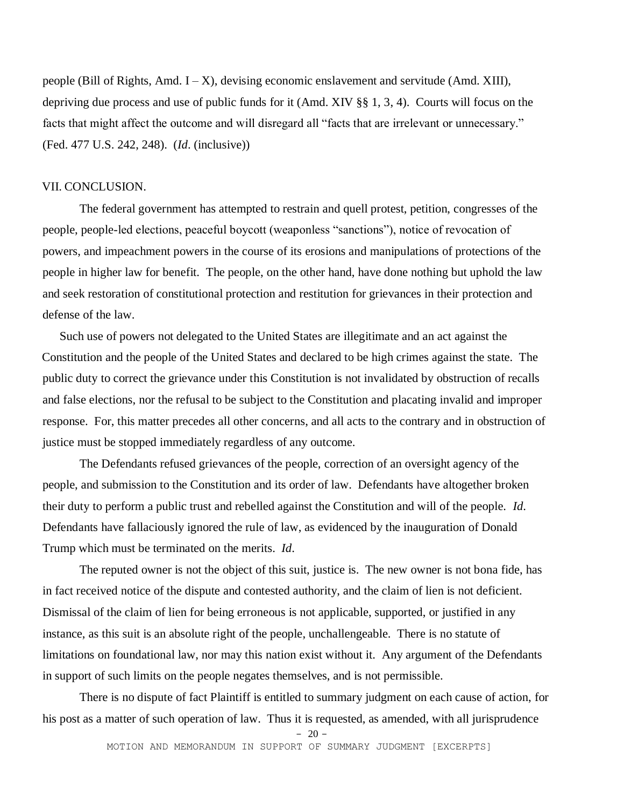people (Bill of Rights, Amd.  $I - X$ ), devising economic enslavement and servitude (Amd. XIII), depriving due process and use of public funds for it (Amd. XIV §§ 1, 3, 4). Courts will focus on the facts that might affect the outcome and will disregard all "facts that are irrelevant or unnecessary." (Fed. 477 U.S. 242, 248). (*Id*. (inclusive))

#### VII. CONCLUSION.

The federal government has attempted to restrain and quell protest, petition, congresses of the people, people-led elections, peaceful boycott (weaponless "sanctions"), notice of revocation of powers, and impeachment powers in the course of its erosions and manipulations of protections of the people in higher law for benefit. The people, on the other hand, have done nothing but uphold the law and seek restoration of constitutional protection and restitution for grievances in their protection and defense of the law.

Such use of powers not delegated to the United States are illegitimate and an act against the Constitution and the people of the United States and declared to be high crimes against the state. The public duty to correct the grievance under this Constitution is not invalidated by obstruction of recalls and false elections, nor the refusal to be subject to the Constitution and placating invalid and improper response. For, this matter precedes all other concerns, and all acts to the contrary and in obstruction of justice must be stopped immediately regardless of any outcome.

 The Defendants refused grievances of the people, correction of an oversight agency of the people, and submission to the Constitution and its order of law. Defendants have altogether broken their duty to perform a public trust and rebelled against the Constitution and will of the people. *Id*. Defendants have fallaciously ignored the rule of law, as evidenced by the inauguration of Donald Trump which must be terminated on the merits. *Id*.

The reputed owner is not the object of this suit, justice is. The new owner is not bona fide, has in fact received notice of the dispute and contested authority, and the claim of lien is not deficient. Dismissal of the claim of lien for being erroneous is not applicable, supported, or justified in any instance, as this suit is an absolute right of the people, unchallengeable. There is no statute of limitations on foundational law, nor may this nation exist without it. Any argument of the Defendants in support of such limits on the people negates themselves, and is not permissible.

There is no dispute of fact Plaintiff is entitled to summary judgment on each cause of action, for his post as a matter of such operation of law. Thus it is requested, as amended, with all jurisprudence

 $-20$  –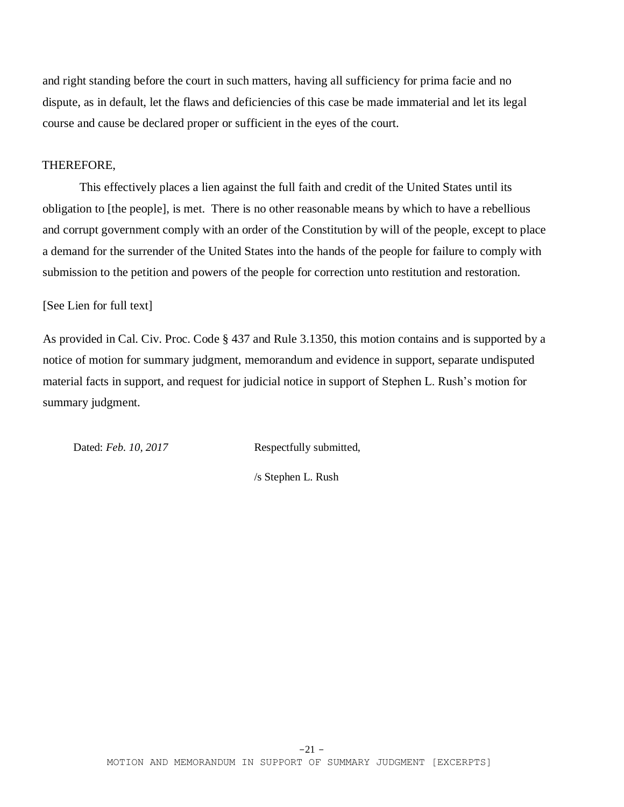and right standing before the court in such matters, having all sufficiency for prima facie and no dispute, as in default, let the flaws and deficiencies of this case be made immaterial and let its legal course and cause be declared proper or sufficient in the eyes of the court.

### THEREFORE,

This effectively places a lien against the full faith and credit of the United States until its obligation to [the people], is met. There is no other reasonable means by which to have a rebellious and corrupt government comply with an order of the Constitution by will of the people, except to place a demand for the surrender of the United States into the hands of the people for failure to comply with submission to the petition and powers of the people for correction unto restitution and restoration.

#### [See Lien for full text]

As provided in Cal. Civ. Proc. Code § 437 and Rule 3.1350, this motion contains and is supported by a notice of motion for summary judgment, memorandum and evidence in support, separate undisputed material facts in support, and request for judicial notice in support of Stephen L. Rush's motion for summary judgment.

Dated: Feb. 10, 2017 Respectfully submitted,

/s Stephen L. Rush